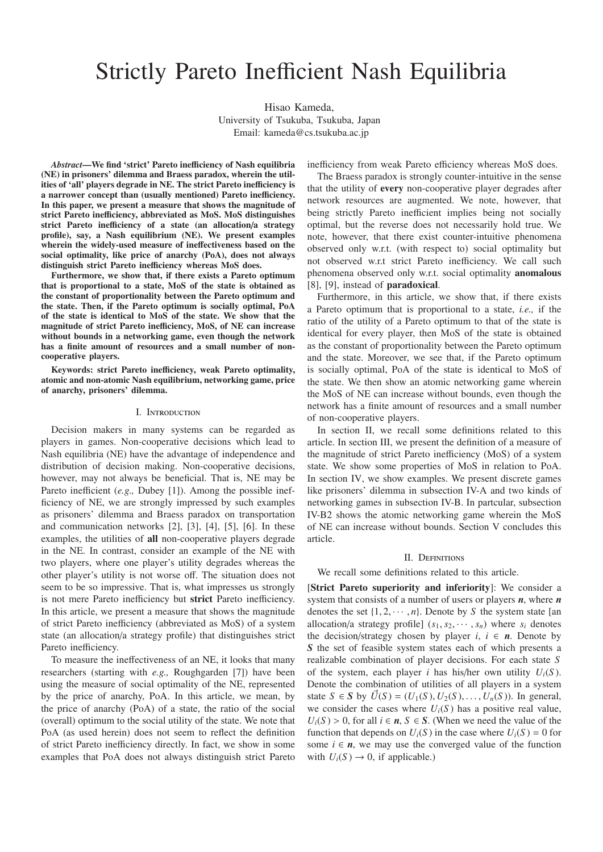# Strictly Pareto Inefficient Nash Equilibria

Hisao Kameda, University of Tsukuba, Tsukuba, Japan Email: kameda@cs.tsukuba.ac.jp

*Abstract*—We find 'strict' Pareto inefficiency of Nash equilibria (NE) in prisoners' dilemma and Braess paradox, wherein the utilities of 'all' players degrade in NE. The strict Pareto inefficiency is a narrower concept than (usually mentioned) Pareto inefficiency. In this paper, we present a measure that shows the magnitude of strict Pareto inefficiency, abbreviated as MoS. MoS distinguishes strict Pareto inefficiency of a state (an allocation/a strategy profile), say, a Nash equilibrium (NE). We present examples wherein the widely-used measure of ineffectiveness based on the social optimality, like price of anarchy (PoA), does not always distinguish strict Pareto inefficiency whereas MoS does.

Furthermore, we show that, if there exists a Pareto optimum that is proportional to a state, MoS of the state is obtained as the constant of proportionality between the Pareto optimum and the state. Then, if the Pareto optimum is socially optimal, PoA of the state is identical to MoS of the state. We show that the magnitude of strict Pareto inefficiency, MoS, of NE can increase without bounds in a networking game, even though the network has a finite amount of resources and a small number of noncooperative players.

Keywords: strict Pareto inefficiency, weak Pareto optimality, atomic and non-atomic Nash equilibrium, networking game, price of anarchy, prisoners' dilemma.

#### I. Introduction

Decision makers in many systems can be regarded as players in games. Non-cooperative decisions which lead to Nash equilibria (NE) have the advantage of independence and distribution of decision making. Non-cooperative decisions, however, may not always be beneficial. That is, NE may be Pareto inefficient (*e.g.,* Dubey [1]). Among the possible inefficiency of NE, we are strongly impressed by such examples as prisoners' dilemma and Braess paradox on transportation and communication networks [2], [3], [4], [5], [6]. In these examples, the utilities of all non-cooperative players degrade in the NE. In contrast, consider an example of the NE with two players, where one player's utility degrades whereas the other player's utility is not worse off. The situation does not seem to be so impressive. That is, what impresses us strongly is not mere Pareto inefficiency but strict Pareto inefficiency. In this article, we present a measure that shows the magnitude of strict Pareto inefficiency (abbreviated as MoS) of a system state (an allocation/a strategy profile) that distinguishes strict Pareto inefficiency.

To measure the ineffectiveness of an NE, it looks that many researchers (starting with *e.g.,* Roughgarden [7]) have been using the measure of social optimality of the NE, represented by the price of anarchy, PoA. In this article, we mean, by the price of anarchy (PoA) of a state, the ratio of the social (overall) optimum to the social utility of the state. We note that PoA (as used herein) does not seem to reflect the definition of strict Pareto inefficiency directly. In fact, we show in some examples that PoA does not always distinguish strict Pareto inefficiency from weak Pareto efficiency whereas MoS does.

The Braess paradox is strongly counter-intuitive in the sense that the utility of every non-cooperative player degrades after network resources are augmented. We note, however, that being strictly Pareto inefficient implies being not socially optimal, but the reverse does not necessarily hold true. We note, however, that there exist counter-intuitive phenomena observed only w.r.t. (with respect to) social optimality but not observed w.r.t strict Pareto inefficiency. We call such phenomena observed only w.r.t. social optimality anomalous [8], [9], instead of paradoxical.

Furthermore, in this article, we show that, if there exists a Pareto optimum that is proportional to a state, *i.e.,* if the ratio of the utility of a Pareto optimum to that of the state is identical for every player, then MoS of the state is obtained as the constant of proportionality between the Pareto optimum and the state. Moreover, we see that, if the Pareto optimum is socially optimal, PoA of the state is identical to MoS of the state. We then show an atomic networking game wherein the MoS of NE can increase without bounds, even though the network has a finite amount of resources and a small number of non-cooperative players.

In section II, we recall some definitions related to this article. In section III, we present the definition of a measure of the magnitude of strict Pareto inefficiency (MoS) of a system state. We show some properties of MoS in relation to PoA. In section IV, we show examples. We present discrete games like prisoners' dilemma in subsection IV-A and two kinds of networking games in subsection IV-B. In partcular, subsection IV-B2 shows the atomic networking game wherein the MoS of NE can increase without bounds. Section V concludes this article.

#### II. Definitions

We recall some definitions related to this article.

[Strict Pareto superiority and inferiority]: We consider a system that consists of a number of users or players *n*, where *n* denotes the set  $\{1, 2, \dots, n\}$ . Denote by S the system state [an allocation/a strategy profile]  $(s_1, s_2, \dots, s_n)$  where  $s_i$  denotes the decision/strategy chosen by player  $i, i \in n$ . Denote by *S* the set of feasible system states each of which presents a realizable combination of player decisions. For each state *S* of the system, each player *i* has his/her own utility  $U_i(S)$ . Denote the combination of utilities of all players in a system state *S* ∈ *S* by  $\vec{U}(S) = (U_1(S), U_2(S), \ldots, U_n(S))$ . In general, we consider the cases where  $U_i(S)$  has a positive real value,  $U_i(S) > 0$ , for all  $i \in n$ ,  $S \in S$ . (When we need the value of the function that depends on  $U_i(S)$  in the case where  $U_i(S) = 0$  for some  $i \in n$ , we may use the converged value of the function with  $U_i(S) \to 0$ , if applicable.)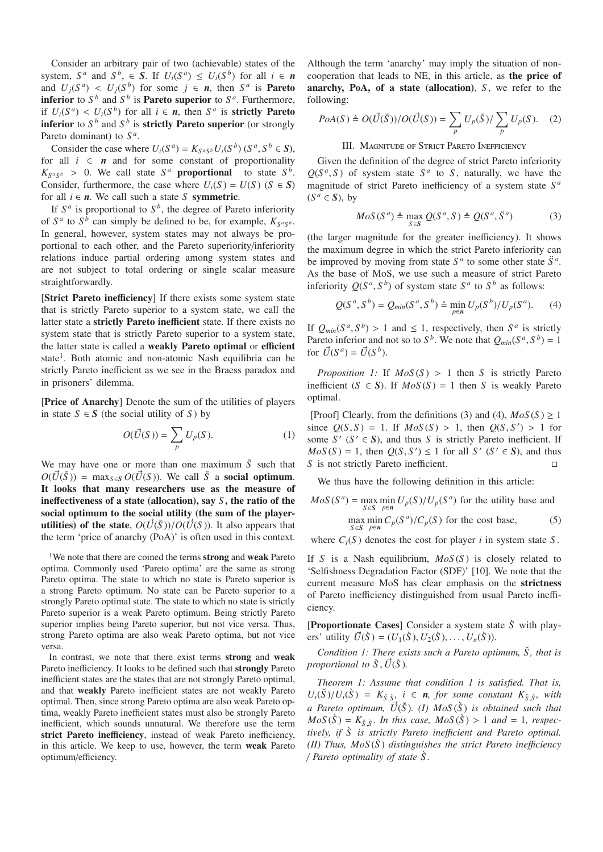Consider an arbitrary pair of two (achievable) states of the system,  $S^a$  and  $S^b$ ,  $\in$  **S**. If  $U_i(S^a) \leq U_i(S^b)$  for all  $i \in$  **n** and  $U_i(S^a) \leq U_i(S^b)$  for some  $j \in n$ , then  $S^a$  is **Pareto inferior** to  $S^b$  and  $S^b$  is **Pareto superior** to  $S^a$ . Furthermore, if  $U_i(S^a) < U_i(S^b)$  for all  $i \in n$ , then  $S^a$  is **strictly Pareto inferior** to  $S^b$  and  $S^b$  is **strictly Pareto superior** (or strongly Pareto dominant) to *S <sup>a</sup>*.

Consider the case where  $U_i(S^a) = K_{S^aS^b} U_i(S^b)$  ( $S^a, S^b \in S$ ), for all  $i \in n$  and for some constant of proportionality  $K_{S^aS^b} > 0$ . We call state  $S^a$  **proportional** to state  $S^b$ . Consider, furthermore, the case where  $U_i(S) = U(S)$  ( $S \in S$ ) for all  $i \in n$ . We call such a state *S* symmetric.

If  $S^a$  is proportional to  $S^b$ , the degree of Pareto inferiority of  $S^a$  to  $S^b$  can simply be defined to be, for example,  $K_{S^aS^b}$ . In general, however, system states may not always be proportional to each other, and the Pareto superiority/inferiority relations induce partial ordering among system states and are not subject to total ordering or single scalar measure straightforwardly.

[Strict Pareto inefficiency] If there exists some system state that is strictly Pareto superior to a system state, we call the latter state a strictly Pareto inefficient state. If there exists no system state that is strictly Pareto superior to a system state, the latter state is called a weakly Pareto optimal or efficient state<sup>1</sup>. Both atomic and non-atomic Nash equilibria can be strictly Pareto inefficient as we see in the Braess paradox and in prisoners' dilemma.

[Price of Anarchy] Denote the sum of the utilities of players in state *S* ∈ *S* (the social utility of *S*) by

$$
O(\vec{U}(S)) = \sum_{p} U_p(S).
$$
 (1)

We may have one or more than one maximum  $\bar{S}$  such that  $O(\vec{U}(\bar{S})) = \max_{S \in S} O(\vec{U}(S))$ . We call  $\bar{S}$  a social optimum. It looks that many researchers use as the measure of ineffectiveness of a state (allocation), say *S* , the ratio of the social optimum to the social utility (the sum of the player**utilities) of the state,**  $O(\vec{U}(\bar{S}))/O(\vec{U}(S))$ . It also appears that the term 'price of anarchy (PoA)' is often used in this context.

<sup>1</sup>We note that there are coined the terms **strong** and **weak** Pareto optima. Commonly used 'Pareto optima' are the same as strong Pareto optima. The state to which no state is Pareto superior is a strong Pareto optimum. No state can be Pareto superior to a strongly Pareto optimal state. The state to which no state is strictly Pareto superior is a weak Pareto optimum. Being strictly Pareto superior implies being Pareto superior, but not vice versa. Thus, strong Pareto optima are also weak Pareto optima, but not vice versa.

In contrast, we note that there exist terms strong and weak Pareto inefficiency. It looks to be defined such that strongly Pareto inefficient states are the states that are not strongly Pareto optimal, and that weakly Pareto inefficient states are not weakly Pareto optimal. Then, since strong Pareto optima are also weak Pareto optima, weakly Pareto inefficient states must also be strongly Pareto inefficient, which sounds unnatural. We therefore use the term strict Pareto inefficiency, instead of weak Pareto inefficiency, in this article. We keep to use, however, the term weak Pareto optimum/efficiency.

Although the term 'anarchy' may imply the situation of noncooperation that leads to NE, in this article, as the price of anarchy, PoA, of a state (allocation), *S*, we refer to the following:

$$
PoA(S) \triangleq O(\vec{U}(\bar{S}))/O(\vec{U}(S)) = \sum_{p} U_p(\bar{S})/\sum_{p} U_p(S).
$$
 (2)

## III. MAGNITUDE OF STRICT PARETO INEFFICIENCY

Given the definition of the degree of strict Pareto inferiority  $Q(S^a, S)$  of system state  $S^a$  to *S*, naturally, we have the magnitude of strict Pareto inefficiency of a system state *S <sup>a</sup>*  $(S^a \in S)$ , by

$$
MoS(S^{a}) \triangleq \max_{S \in S} Q(S^{a}, S) \triangleq Q(S^{a}, \ddot{S}^{a})
$$
(3)

(the larger magnitude for the greater inefficiency). It shows the maximum degree in which the strict Pareto inferiority can be improved by moving from state  $S^a$  to some other state  $\ddot{S}^a$ . As the base of MoS, we use such a measure of strict Pareto inferiority  $O(S^a, S^b)$  of system state  $S^a$  to  $S^b$  as follows:

$$
Q(S^a, S^b) = Q_{min}(S^a, S^b) \triangleq \min_{p \in \mathbf{n}} U_p(S^b) / U_p(S^a). \tag{4}
$$

If  $Q_{min}(S^a, S^b) > 1$  and  $\leq 1$ , respectively, then  $S^a$  is strictly Pareto inferior and not so to  $S^b$ . We note that  $Q_{min}(S^a, S^b) = 1$ for  $\vec{U}(S^a) = \vec{U}(S^b)$ .

*Proposition 1:* If  $MoS(S) > 1$  then *S* is strictly Pareto inefficient  $(S \in S)$ . If  $MoS(S) = 1$  then *S* is weakly Pareto optimal.

[Proof] Clearly, from the definitions (3) and (4),  $MoS(S) \ge 1$ since  $Q(S, S) = 1$ . If  $MoS(S) > 1$ , then  $Q(S, S') > 1$  for some  $S'$   $(S' \in S)$ , and thus *S* is strictly Pareto inefficient. If  $MoS(S) = 1$ , then  $Q(S, S') \le 1$  for all *S'* (*S'*  $\in$  *S*), and thus *S* is not strictly Pareto inefficient. □

We thus have the following definition in this article:

$$
MoS(S^{a}) = \max_{S \in S} \min_{p \in n} U_{p}(S) / U_{p}(S^{a})
$$
 for the utility base and  
\n
$$
\max_{S \in S} \min_{p \in n} C_{p}(S^{a}) / C_{p}(S)
$$
 for the cost base, (5)

where  $C_i(S)$  denotes the cost for player *i* in system state S.

If *S* is a Nash equilibrium, *MoS* (*S* ) is closely related to 'Selfishness Degradation Factor (SDF)' [10]. We note that the current measure MoS has clear emphasis on the strictness of Pareto inefficiency distinguished from usual Pareto inefficiency.

[Proportionate Cases] Consider a system state *S*` with players' utility  $\vec{U}(\hat{S}) = (U_1(\hat{S}), U_2(\hat{S}), \dots, U_n(\hat{S})).$ 

*Condition 1: There exists such a Pareto optimum,*  $\check{S}$ *, that is proportional to*  $\hat{S}$ ,  $\vec{U}(\hat{S})$ *.* 

*Theorem 1: Assume that condition 1 is satisfied. That is,*  $U_i(\check{S})/U_i(\check{S}) = K_{\check{S}\check{S}}, \quad i \in \mathbb{n}, \text{ for some constant } K_{\check{S}\check{S}}, \text{ with }$ *a Pareto optimum, U*- (*S*˘)*. (I) MoS* (*S*`) *is obtained such that*  $MoS(\tilde{S}) = K_{\tilde{S}}$ , *In this case, MoS*( $\tilde{S}$ ) > 1 *and* = 1*, respectively, if*  $\hat{S}$  *is strictly Pareto inefficient and Pareto optimal. (II)* Thus,  $MoS(\hat{S})$  *distinguishes the strict Pareto inefficiency* / *Pareto optimality of state S .* `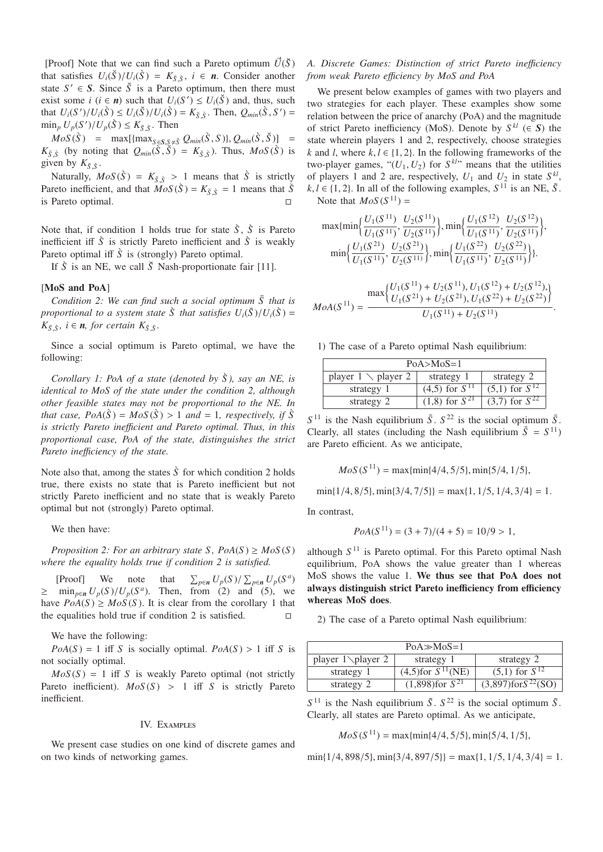[Proof] Note that we can find such a Pareto optimum  $\vec{U}(\check{S})$ that satisfies  $U_i(\check{S})/U_i(\check{S}) = K_{\check{S},\check{S}}, i \in \mathbf{n}$ . Consider another state  $S' \in S$ . Since  $\check{S}$  is a Pareto optimum, then there must exist some *i* ( $i \in n$ ) such that  $U_i(S') \leq U_i(\check{S})$  and, thus, such that  $U_i(S')/U_i(\tilde{S}) \le U_i(\tilde{S})/U_i(\tilde{S}) = K_{\tilde{S},\tilde{S}}$ . Then,  $Q_{min}(\tilde{S}, S') =$  $\min_p U_p(S')/U_p(\tilde{S}) \le K_{\tilde{S},\tilde{S}}$ . Then

 $MoS(\tilde{S})$  =  $max[{max_{S \subseteq S, S \neq \tilde{S}} Q_{min}(\tilde{S}, S)}, Q_{min}(\tilde{S}, \tilde{S})]$  =  $K_{\tilde{S}}$  *s*<sup></sup> (by noting that  $Q_{min}(\tilde{S}, \tilde{S}) = K_{\tilde{S}, \tilde{S}}$ ). Thus,  $MoS(\tilde{S})$  is given by  $K_{\xi\bar{S}}$ .

Naturally,  $MoS(\tilde{S}) = K_{\tilde{S},\tilde{S}} > 1$  means that  $\tilde{S}$  is strictly Pareto inefficient, and that  $MoS(\tilde{S}) = K_{\tilde{S},\tilde{S}} = 1$  means that  $\tilde{S}$ is Pareto optimal.

Note that, if condition 1 holds true for state  $\hat{S}$ ,  $\hat{S}$  is Pareto inefficient iff  $\hat{S}$  is strictly Pareto inefficient and  $\hat{S}$  is weakly Pareto optimal iff  $\hat{S}$  is (strongly) Pareto optimal.

If  $\hat{S}$  is an NE, we call  $\check{S}$  Nash-proportionate fair [11].

## [MoS and PoA]

*Condition 2: We can find such a social optimum*  $\overline{S}$  that is *proportional to a system state*  $\hat{S}$  *that satisfies*  $U_i(\bar{S})/U_i(\hat{S}) =$  $K_{\bar{S},\tilde{S}}$ *, i*  $\in$  *n, for certain*  $K_{\bar{S},\tilde{S}}$ *.* 

Since a social optimum is Pareto optimal, we have the following:

*Corollary 1: PoA of a state (denoted by S ), say an NE, is* ` *identical to MoS of the state under the condition 2, although other feasible states may not be proportional to the NE. In that case, PoA*( $\hat{S}$ ) = *MoS*( $\hat{S}$ ) > 1 *and* = 1*, respectively, if*  $\hat{S}$ *is strictly Pareto ine*ffi*cient and Pareto optimal. Thus, in this proportional case, PoA of the state, distinguishes the strict Pareto ine*ffi*ciency of the state.*

Note also that, among the states  $\hat{S}$  for which condition 2 holds true, there exists no state that is Pareto inefficient but not strictly Pareto inefficient and no state that is weakly Pareto optimal but not (strongly) Pareto optimal.

We then have:

*Proposition 2: For an arbitrary state S,*  $PoA(S) \geq MoS(S)$ *where the equality holds true if condition 2 is satisfied.*

[Proof] We note that *p*∈*n*  $U_p(S)$  /  $\sum_{p \in n} U_p(S^a)$  $\geq$  min<sub>p∈n</sub>  $U_p(S)/U_p(S^a)$ . Then, from (2) and (5), we have  $PoA(S) \geq MoS(S)$ . It is clear from the corollary 1 that the equalities hold true if condition 2 is satisfied. the equalities hold true if condition 2 is satisfied.

We have the following:

 $PoA(S) = 1$  iff *S* is socially optimal.  $PoA(S) > 1$  iff *S* is not socially optimal.

 $MoS(S) = 1$  iff *S* is weakly Pareto optimal (not strictly Pareto inefficient).  $MoS(S) > 1$  iff *S* is strictly Pareto inefficient.

## IV. Examples

We present case studies on one kind of discrete games and on two kinds of networking games.

# *A. Discrete Games: Distinction of strict Pareto ine*ffi*ciency from weak Pareto e*ffi*ciency by MoS and PoA*

We present below examples of games with two players and two strategies for each player. These examples show some relation between the price of anarchy (PoA) and the magnitude of strict Pareto inefficiency (MoS). Denote by  $S^{kl}$  ( $\in$  S) the state wherein players 1 and 2, respectively, choose strategies *k* and *l*, where  $k, l \in \{1, 2\}$ . In the following frameworks of the two-player games, " $(U_1, U_2)$  for  $S^{kl}$ " means that the utilities of players 1 and 2 are, respectively,  $U_1$  and  $U_2$  in state  $S^{kl}$ ,  $k, l \in \{1, 2\}$ . In all of the following examples,  $S^{11}$  is an NE,  $\tilde{S}$ . Note that  $MoS(S^{11}) =$ 

$$
\max\{\min\left\{\frac{U_1(S^{11})}{U_1(S^{11})}, \frac{U_2(S^{11})}{U_2(S^{11})}\right\}, \min\left\{\frac{U_1(S^{12})}{U_1(S^{11})}, \frac{U_2(S^{12})}{U_2(S^{11})}\right\},\newline \min\left\{\frac{U_1(S^{21})}{U_1(S^{11})}, \frac{U_2(S^{21})}{U_2(S^{11})}\right\}, \min\left\{\frac{U_1(S^{22})}{U_1(S^{11})}, \frac{U_2(S^{22})}{U_2(S^{11})}\right\}\}.
$$

$$
MoA(S^{11}) = \frac{\max\left\{U_1(S^{11}) + U_2(S^{11}), U_1(S^{12}) + U_2(S^{12}),\right\}}{U_1(S^{21}) + U_2(S^{21}), U_1(S^{22}) + U_2(S^{22})}
$$

1) The case of a Pareto optimal Nash equilibrium:

| $PoA > MoS = 1$               |                      |                      |
|-------------------------------|----------------------|----------------------|
| player $1 \setminus$ player 2 | strategy 1           | strategy 2           |
| strategy 1                    | $(4,5)$ for $S^{11}$ | $(5,1)$ for $S^{12}$ |
| strategy 2                    | $(1,8)$ for $S^{21}$ | $(3,7)$ for $S^{22}$ |

 $S^{11}$  is the Nash equilibrium  $\tilde{S}$ .  $S^{22}$  is the social optimum  $\bar{S}$ . Clearly, all states (including the Nash equilibrium  $\tilde{S} = S^{11}$ ) are Pareto efficient. As we anticipate,

$$
MoS(S^{11}) = \max\{\min\{4/4, 5/5\}, \min\{5/4, 1/5\},\
$$

 $min\{1/4, 8/5\}$ ,  $min\{3/4, 7/5\}$  =  $max\{1, 1/5, 1/4, 3/4\}$  = 1.

In contrast,

$$
PoA(S^{11}) = (3 + 7)/(4 + 5) = 10/9 > 1,
$$

although *S* <sup>11</sup> is Pareto optimal. For this Pareto optimal Nash equilibrium, PoA shows the value greater than 1 whereas MoS shows the value 1. We thus see that PoA does not always distinguish strict Pareto inefficiency from efficiency whereas MoS does.

2) The case of a Pareto optimal Nash equilibrium:

| $PoA \gg MoS=1$      |                                     |                             |
|----------------------|-------------------------------------|-----------------------------|
| player $1\$ player 2 | strategy 1                          | strategy 2                  |
| strategy 1           | $(4,5)$ for $\overline{S^{11}(NE)}$ | $(5,1)$ for $S^{12}$        |
| strategy 2           | $(1,898)$ for $S^{21}$              | $(3,897)$ for $S^{22}$ (SO) |

 $S^{11}$  is the Nash equilibrium  $\tilde{S}$ .  $S^{22}$  is the social optimum  $\bar{S}$ . Clearly, all states are Pareto optimal. As we anticipate,

$$
MoS(S^{11}) = \max\{\min\{4/4, 5/5\}, \min\{5/4, 1/5\},\
$$

 $min\{1/4, 898/5\}, min\{3/4, 897/5\}\ = max\{1, 1/5, 1/4, 3/4\} = 1.$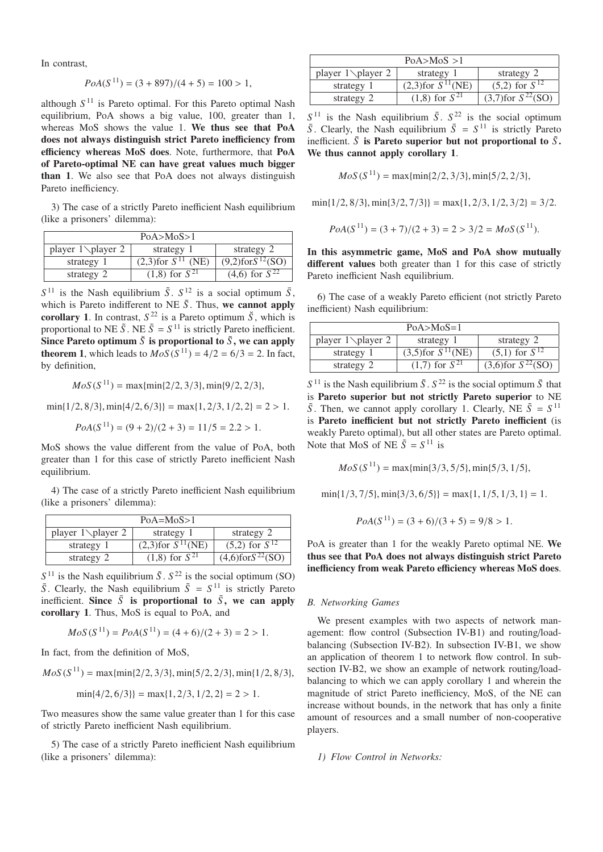In contrast,

$$
PoA(S^{11}) = (3 + 897)/(4 + 5) = 100 > 1,
$$

although  $S<sup>11</sup>$  is Pareto optimal. For this Pareto optimal Nash equilibrium, PoA shows a big value, 100, greater than 1, whereas MoS shows the value 1. We thus see that PoA does not always distinguish strict Pareto inefficiency from efficiency whereas MoS does. Note, furthermore, that PoA of Pareto-optimal NE can have great values much bigger than 1. We also see that PoA does not always distinguish Pareto inefficiency.

3) The case of a strictly Pareto inefficient Nash equilibrium (like a prisoners' dilemma):

| PoA > MoS > 1        |                                     |                           |
|----------------------|-------------------------------------|---------------------------|
| player $1\$ player 2 | strategy 1                          | strategy 2                |
| strategy 1           | $(2,3)$ for $\overline{S^{11}$ (NE) | $(9,2)$ for $S^{12}$ (SO) |
| strategy 2           | $(1,8)$ for $\overline{S}^{21}$     | $(4,6)$ for $S^{22}$      |

 $S^{11}$  is the Nash equilibrium  $\tilde{S}$ ,  $S^{12}$  is a social optimum  $\bar{S}$ , which is Pareto indifferent to NE  $\tilde{S}$ . Thus, we cannot apply corollary 1. In contrast,  $S^{22}$  is a Pareto optimum  $\check{S}$ , which is proportional to NE  $\tilde{S}$ . NE  $\tilde{S} = S^{11}$  is strictly Pareto inefficient. Since Pareto optimum  $\check{S}$  is proportional to  $\tilde{S}$ , we can apply **theorem 1,** which leads to  $MoS(S^{11}) = 4/2 = 6/3 = 2$ . In fact, by definition,

$$
MoS(S^{11}) = \max{\min{2/2, 3/3}, \min{9/2, 2/3}},
$$

 $min\{1/2, 8/3\}$ ,  $min\{4/2, 6/3\}$  =  $max\{1, 2/3, 1/2, 2\} = 2 > 1$ .

$$
PoA(S^{11}) = (9+2)/(2+3) = 11/5 = 2.2 > 1.
$$

MoS shows the value different from the value of PoA, both greater than 1 for this case of strictly Pareto inefficient Nash equilibrium.

4) The case of a strictly Pareto inefficient Nash equilibrium (like a prisoners' dilemma):

| $PoA = MoS > 1$      |                                     |                           |
|----------------------|-------------------------------------|---------------------------|
| player $1\$ player 2 | strategy 1                          | strategy 2                |
| strategy 1           | $(2,3)$ for $\overline{S^{11}(NE)}$ | $(5,2)$ for $S^{12}$      |
| strategy 2           | $(1,8)$ for $\overline{S^{21}}$     | $(4,6)$ for $S^{22}$ (SO) |

 $S<sup>11</sup>$  is the Nash equilibrium  $\tilde{S}$ .  $S<sup>22</sup>$  is the social optimum (SO)  $\overline{S}$ . Clearly, the Nash equilibrium  $\tilde{S} = S^{11}$  is strictly Pareto inefficient. Since  $\bar{S}$  is proportional to  $\tilde{S}$ , we can apply corollary 1. Thus, MoS is equal to PoA, and

$$
MoS(S^{11}) = PoA(S^{11}) = (4+6)/(2+3) = 2 > 1.
$$

In fact, from the definition of MoS,

$$
MoS(S^{11}) = \max{\min\{2/2, 3/3\}, \min\{5/2, 2/3\}, \min\{1/2, 8/3\},\}
$$

$$
\min\{4/2, 6/3\} = \max\{1, 2/3, 1/2, 2\} = 2 > 1.
$$

Two measures show the same value greater than 1 for this case of strictly Pareto inefficient Nash equilibrium.

5) The case of a strictly Pareto inefficient Nash equilibrium (like a prisoners' dilemma):

| PoA > MoS > 1        |                                     |                          |
|----------------------|-------------------------------------|--------------------------|
| player $1\$ player 2 | strategy 1                          | strategy 2               |
| strategy 1           | $(2,3)$ for $\overline{S^{11}(NE)}$ | $(5,2)$ for $S^{12}$     |
| strategy 2           | $(1,8)$ for $\overline{S^{21}}$     | $(3,7)$ for $S^{22}(SO)$ |

 $S<sup>11</sup>$  is the Nash equilibrium  $\tilde{S}$ .  $S<sup>22</sup>$  is the social optimum  $\overline{S}$ . Clearly, the Nash equilibrium  $\tilde{S} = S^{11}$  is strictly Pareto inefficient.  $\bar{S}$  is Pareto superior but not proportional to  $\tilde{S}$ . We thus cannot apply corollary 1.

 $MoS(S^{11}) = max\{min\{2/2, 3/3\}, min\{5/2, 2/3\},$ 

 $min\{1/2, 8/3\}$ ,  $min\{3/2, 7/3\}$  =  $max\{1, 2/3, 1/2, 3/2\}$  = 3/2.

$$
PoA(S^{11}) = (3 + 7)/(2 + 3) = 2 > 3/2 = MoS(S^{11}).
$$

In this asymmetric game, MoS and PoA show mutually different values both greater than 1 for this case of strictly Pareto inefficient Nash equilibrium.

6) The case of a weakly Pareto efficient (not strictly Pareto inefficient) Nash equilibrium:

| $PoA > MoS = 1$      |                          |                                     |
|----------------------|--------------------------|-------------------------------------|
| player $1\$ player 2 | strategy 1               | strategy 2                          |
| strategy 1           | $(3,5)$ for $S^{11}(NE)$ | $(5,1)$ for $S^{12}$                |
| strategy 2           | $(1,7)$ for $S^{21}$     | $(3,6)$ for $\overline{S^{22}(SO)}$ |

 $S^{11}$  is the Nash equilibrium  $\tilde{S}$ .  $S^{22}$  is the social optimum  $\overline{S}$  that is Pareto superior but not strictly Pareto superior to NE  $\tilde{S}$ . Then, we cannot apply corollary 1. Clearly, NE  $\tilde{S} = S^{11}$ is Pareto inefficient but not strictly Pareto inefficient (is weakly Pareto optimal), but all other states are Pareto optimal. Note that MoS of NE  $\tilde{S} = S^{11}$  is

 $MoS(S^{11}) = max\{\min\{3/3, 5/5\}, \min\{5/3, 1/5\},\}$ 

 $min\{1/3, 7/5\}$ ,  $min\{3/3, 6/5\}$  =  $max\{1, 1/5, 1/3, 1\}$  = 1.

$$
PoA(S^{11}) = (3+6)/(3+5) = 9/8 > 1.
$$

PoA is greater than 1 for the weakly Pareto optimal NE. We thus see that PoA does not always distinguish strict Pareto inefficiency from weak Pareto efficiency whereas MoS does.

## *B. Networking Games*

We present examples with two aspects of network management: flow control (Subsection IV-B1) and routing/loadbalancing (Subsection IV-B2). In subsection IV-B1, we show an application of theorem 1 to network flow control. In subsection IV-B2, we show an example of network routing/loadbalancing to which we can apply corollary 1 and wherein the magnitude of strict Pareto inefficiency, MoS, of the NE can increase without bounds, in the network that has only a finite amount of resources and a small number of non-cooperative players.

*1) Flow Control in Networks:*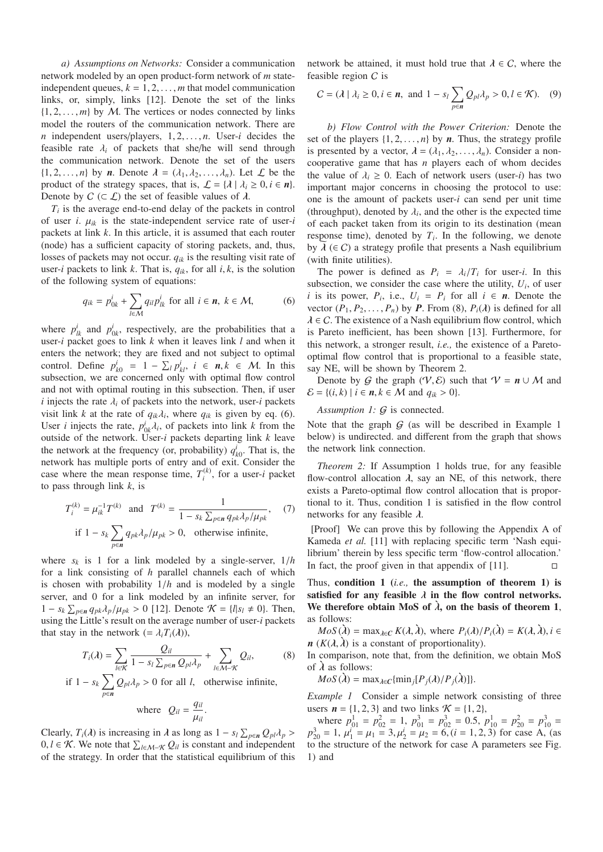*a) Assumptions on Networks:* Consider a communication network modeled by an open product-form network of *m* stateindependent queues,  $k = 1, 2, \ldots, m$  that model communication links, or, simply, links [12]. Denote the set of the links  $\{1, 2, \ldots, m\}$  by M. The vertices or nodes connected by links model the routers of the communication network. There are *n* independent users/players,  $1, 2, \ldots, n$ . User-*i* decides the feasible rate  $\lambda_i$  of packets that she/he will send through the communication network. Denote the set of the users  $\{1, 2, \ldots, n\}$  by *n*. Denote  $\lambda = (\lambda_1, \lambda_2, \ldots, \lambda_n)$ . Let  $\mathcal L$  be the product of the strategy spaces, that is,  $\mathcal{L} = \{ \lambda \mid \lambda_i \geq 0, i \in \mathbf{n} \}.$ Denote by  $C$  ( $\subset \mathcal{L}$ ) the set of feasible values of  $\lambda$ .

 $T_i$  is the average end-to-end delay of the packets in control of user *i*. μ*ik* is the state-independent service rate of user-*i* packets at link *k*. In this article, it is assumed that each router (node) has a sufficient capacity of storing packets, and, thus, losses of packets may not occur. *qik* is the resulting visit rate of user-*i* packets to link *k*. That is,  $q_{ik}$ , for all *i*, *k*, is the solution of the following system of equations:

$$
q_{ik} = p_{0k}^i + \sum_{l \in \mathcal{M}} q_{il} p_{lk}^i \text{ for all } i \in \mathbf{n}, \ k \in \mathcal{M}, \tag{6}
$$

where  $p_{lk}^i$  and  $p_{0k}^i$ , respectively, are the probabilities that a user-*i* packet goes to link *k* when it leaves link *l* and when it enters the network; they are fixed and not subject to optimal control. Define  $p_{k0}^i = 1 - \sum_l p_{kl}^i$ ,  $i \in \mathbf{n}, k \in \mathcal{M}$ . In this subsection, we are concerned only with optimal flow control and not with optimal routing in this subsection. Then, if user *i* injects the rate  $\lambda_i$  of packets into the network, user-*i* packets visit link *k* at the rate of  $q_{ik}\lambda_i$ , where  $q_{ik}$  is given by eq. (6). User *i* injects the rate,  $p_{0k}^i \lambda_i$ , of packets into link *k* from the outside of the network. User-*i* packets departing link *k* leave the network at the frequency (or, probability)  $q_{k0}^i$ . That is, the network has multiple ports of entry and of exit. Consider the case where the mean response time,  $T_i^{(k)}$ , for a user-*i* packet to pass through link *k*, is

$$
T_i^{(k)} = \mu_{ik}^{-1} T^{(k)} \text{ and } T^{(k)} = \frac{1}{1 - s_k \sum_{p \in \mathbf{n}} q_{pk} \lambda_p / \mu_{pk}}, \quad (7)
$$
  
if  $1 - s_k \sum_{p \in \mathbf{n}} q_{pk} \lambda_p / \mu_{pk} > 0$ , otherwise infinite,

where  $s_k$  is 1 for a link modeled by a single-server,  $1/h$ for a link consisting of *h* parallel channels each of which is chosen with probability 1/*h* and is modeled by a single server, and 0 for a link modeled by an infinite server, for 1 − *s<sub>k</sub>*  $\sum_{p \in \mathbf{n}} q_{pk} \lambda_p / \mu_{pk} > 0$  [12]. Denote  $\mathcal{K} = \{l | s_l \neq 0\}$ . Then, using the Little's result on the average number of user-*i* packets that stay in the network  $(=\lambda_i T_i(\lambda))$ ,

$$
T_i(\lambda) = \sum_{l \in \mathcal{K}} \frac{Q_{il}}{1 - s_l \sum_{p \in \mathbf{n}} Q_{pl} \lambda_p} + \sum_{l \in \mathcal{M} - \mathcal{K}} Q_{il},
$$
 (8)

if 
$$
1 - s_k \sum_{p \in n} Q_{pl} \lambda_p > 0
$$
 for all *l*, otherwise infinite,

where 
$$
Q_{il} = \frac{q_{il}}{\mu_{il}}
$$
.

Clearly, *T<sub>i</sub>*( $\lambda$ ) is increasing in  $\lambda$  as long as  $1 - s_l \sum_{p \in \mathbf{n}} Q_{pl} \lambda_p >$ 0, *l* ∈ *K*. We note that  $\sum_{l \in M-\mathcal{K}} Q_{il}$  is constant and independent of the strategy. In order that the statistical equilibrium of this network be attained, it must hold true that  $\lambda \in C$ , where the feasible region C is

$$
C = (\lambda \mid \lambda_i \ge 0, i \in \mathbf{n}, \text{ and } 1 - s_l \sum_{p \in \mathbf{n}} Q_{pl} \lambda_p > 0, l \in \mathcal{K}). \quad (9)
$$

*b) Flow Control with the Power Criterion:* Denote the set of the players  $\{1, 2, ..., n\}$  by *n*. Thus, the strategy profile is presented by a vector,  $\lambda = (\lambda_1, \lambda_2, ..., \lambda_n)$ . Consider a noncooperative game that has *n* players each of whom decides the value of  $\lambda_i \geq 0$ . Each of network users (user-*i*) has two important major concerns in choosing the protocol to use: one is the amount of packets user-*i* can send per unit time (throughput), denoted by  $\lambda_i$ , and the other is the expected time of each packet taken from its origin to its destination (mean response time), denoted by  $T_i$ . In the following, we denote by  $\tilde{\lambda}$  ( $\in$  C) a strategy profile that presents a Nash equilibrium (with finite utilities).

The power is defined as  $P_i = \lambda_i/T_i$  for user-*i*. In this subsection, we consider the case where the utility,  $U_i$ , of user *i* is its power,  $P_i$ , i.e.,  $U_i = P_i$  for all  $i \in \mathbf{n}$ . Denote the vector  $(P_1, P_2, \ldots, P_n)$  by *P*. From (8),  $P_i(\lambda)$  is defined for all  $\lambda \in \mathcal{C}$ . The existence of a Nash equilibrium flow control, which is Pareto inefficient, has been shown [13]. Furthermore, for this network, a stronger result, *i.e.,* the existence of a Paretooptimal flow control that is proportional to a feasible state, say NE, will be shown by Theorem 2.

Denote by G the graph  $(V, \mathcal{E})$  such that  $V = n \cup M$  and  $\mathcal{E} = \{(i, k) \mid i \in n, k \in \mathcal{M} \text{ and } q_{ik} > 0\}.$ 

*Assumption 1:* G is connected.

Note that the graph  $G$  (as will be described in Example 1 below) is undirected. and different from the graph that shows the network link connection.

*Theorem 2:* If Assumption 1 holds true, for any feasible flow-control allocation  $\lambda$ , say an NE, of this network, there exists a Pareto-optimal flow control allocation that is proportional to it. Thus, condition 1 is satisfied in the flow control networks for any feasible  $\lambda$ .

[Proof] We can prove this by following the Appendix A of Kameda *et al.* [11] with replacing specific term 'Nash equilibrium' therein by less specific term 'flow-control allocation.' In fact, the proof given in that appendix of [11].  $\Box$ 

Thus, condition 1 (*i.e.,* the assumption of theorem 1) is satisfied for any feasible  $\lambda$  in the flow control networks. We therefore obtain MoS of  $\lambda$ , on the basis of theorem 1, as follows:

 $MoS(\lambda) = \max_{\lambda \in \mathbb{C}} K(\lambda, \lambda)$ , where  $P_i(\lambda)/P_i(\lambda) = K(\lambda, \lambda), i \in$  $n(K(\lambda, \lambda))$  is a constant of proportionality).

In comparison, note that, from the definition, we obtain MoS of  $\lambda$  as follows:

 $MoS(\lambda) = \max_{\lambda \in \mathbb{C}} \{\min_{i} [P_{i}(\lambda)/P_{i}(\lambda)]\}.$ 

*Example 1* Consider a simple network consisting of three users  $n = \{1, 2, 3\}$  and two links  $K = \{1, 2\}$ ,

where  $p_{01}^1 = p_{02}^2 = 1$ ,  $p_{01}^3 = p_{02}^3 = 0.5$ ,  $p_{10}^1 = p_{20}^2 = p_{10}^3 = 1$  $p_{20}^3 = 1$ ,  $\mu_1^i = \mu_1 = 3$ ,  $\mu_2^i = \mu_2 = 6$ ,  $(i = 1, 2, 3)$  for case A, (as to the structure of the network for case A parameters see Fig. 1) and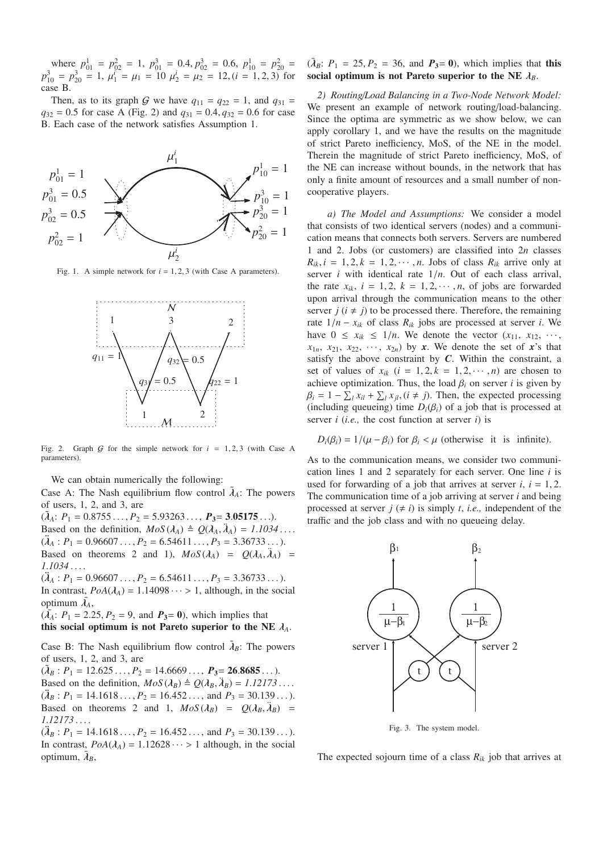where  $p_{01}^1 = p_{02}^2 = 1$ ,  $p_{01}^3 = 0.4$ ,  $p_{02}^3 = 0.6$ ,  $p_{10}^1 = p_{20}^2 =$  $p_{10}^3 = p_{20}^3 = 1$ ,  $\mu_1^i = \mu_1 = 10$   $\mu_2^i = \mu_2 = 12$ ,  $(i = 1, 2, 3)$  for case B.

Then, as to its graph G we have  $q_{11} = q_{22} = 1$ , and  $q_{31} =$  $q_{32} = 0.5$  for case A (Fig. 2) and  $q_{31} = 0.4$ ,  $q_{32} = 0.6$  for case B. Each case of the network satisfies Assumption 1.



Fig. 1. A simple network for  $i = 1, 2, 3$  (with Case A parameters).



Fig. 2. Graph  $G$  for the simple network for  $i = 1, 2, 3$  (with Case A parameters).

We can obtain numerically the following:

Case A: The Nash equilibrium flow control  $\lambda_A$ : The powers of users, 1, 2, and 3, are

 $(\tilde{\lambda}_A: P_1 = 0.8755 \ldots, P_2 = 5.93263 \ldots, P_3 = 3.05175 \ldots).$ Based on the definition,  $MoS(\lambda_A) \triangleq Q(\lambda_A, \lambda_A) = 1.1034...$  $(\lambda_A : P_1 = 0.96607 \ldots, P_2 = 6.54611 \ldots, P_3 = 3.36733 \ldots).$ Based on theorems 2 and 1),  $MoS(\lambda_A) = Q(\lambda_A, \lambda_A) =$ *1*.*1034* ... .

 $(\lambda_4 : P_1 = 0.96607 \ldots, P_2 = 6.54611 \ldots, P_3 = 3.36733 \ldots).$ In contrast,  $PoA(\lambda_A) = 1.14098 \cdots > 1$ , although, in the social optimum  $\bar{\lambda}_A$ ,

 $(\bar{X}_A: P_1 = 2.25, P_2 = 9, \text{ and } P_3 = 0)$ , which implies that this social optimum is not Pareto superior to the NE  $\lambda_A$ .

Case B: The Nash equilibrium flow control  $\tilde{\lambda}_B$ : The powers of users, 1, 2, and 3, are

 $(\tilde{\lambda}_B : P_1 = 12.625 \ldots, P_2 = 14.6669 \ldots, P_3 = 26.8685 \ldots).$ Based on the definition,  $MoS(\lambda_B) \triangleq Q(\lambda_B, \lambda_B) = 1.12173...$  $(\lambda_B : P_1 = 14.1618 \ldots, P_2 = 16.452 \ldots, \text{ and } P_3 = 30.139 \ldots).$ Based on theorems 2 and 1,  $MoS(\lambda_B) = O(\lambda_B, \lambda_B) =$ *1*.*12173* ... .

 $(\lambda_B : P_1 = 14.1618 \ldots, P_2 = 16.452 \ldots,$  and  $P_3 = 30.139 \ldots$ ). In contrast,  $PoA(\lambda_A) = 1.12628 \cdots > 1$  although, in the social optimum,  $\bar{\lambda}_B$ ,

## $({\bar \lambda}_B: P_1 = 25, P_2 = 36, \text{ and } P_3 = 0$ , which implies that this social optimum is not Pareto superior to the NE  $\lambda_B$ .

*2) Routing*/*Load Balancing in a Two-Node Network Model:* We present an example of network routing/load-balancing. Since the optima are symmetric as we show below, we can apply corollary 1, and we have the results on the magnitude of strict Pareto inefficiency, MoS, of the NE in the model. Therein the magnitude of strict Pareto inefficiency, MoS, of the NE can increase without bounds, in the network that has only a finite amount of resources and a small number of noncooperative players.

*a) The Model and Assumptions:* We consider a model that consists of two identical servers (nodes) and a communication means that connects both servers. Servers are numbered 1 and 2. Jobs (or customers) are classified into 2*n* classes  $R_{ik}$ ,  $i = 1, 2, k = 1, 2, \cdots, n$ . Jobs of class  $R_{ik}$  arrive only at server *i* with identical rate 1/*n*. Out of each class arrival, the rate  $x_{ik}$ ,  $i = 1, 2, k = 1, 2, \cdots, n$ , of jobs are forwarded upon arrival through the communication means to the other server  $j$  ( $i \neq j$ ) to be processed there. Therefore, the remaining rate  $1/n - x_{ik}$  of class  $R_{ik}$  jobs are processed at server *i*. We have  $0 \le x_{ik} \le 1/n$ . We denote the vector  $(x_{11}, x_{12}, \dots, x_{1n})$  $x_{1n}$ ,  $x_{21}$ ,  $x_{22}$ ,  $\cdots$ ,  $x_{2n}$ ) by *x*. We denote the set of *x*'s that satisfy the above constraint by *C*. Within the constraint, a set of values of  $x_{ik}$  ( $i = 1, 2, k = 1, 2, \cdots, n$ ) are chosen to achieve optimization. Thus, the load  $\beta_i$  on server *i* is given by  $\beta_i = 1 - \sum_l x_{il} + \sum_l x_{jl}$ ,  $(i \neq j)$ . Then, the expected processing (including queueing) time  $D_i(\beta_i)$  of a job that is processed at server *i* (*i.e.,* the cost function at server *i*) is

$$
D_i(\beta_i) = 1/(\mu - \beta_i) \text{ for } \beta_i < \mu \text{ (otherwise it is infinite)}.
$$

As to the communication means, we consider two communication lines 1 and 2 separately for each server. One line *i* is used for forwarding of a job that arrives at server  $i$ ,  $i = 1, 2$ . The communication time of a job arriving at server *i* and being processed at server  $j \neq i$ ) is simply *t*, *i.e.*, independent of the traffic and the job class and with no queueing delay.



Fig. 3. The system model.

The expected sojourn time of a class  $R_{ik}$  job that arrives at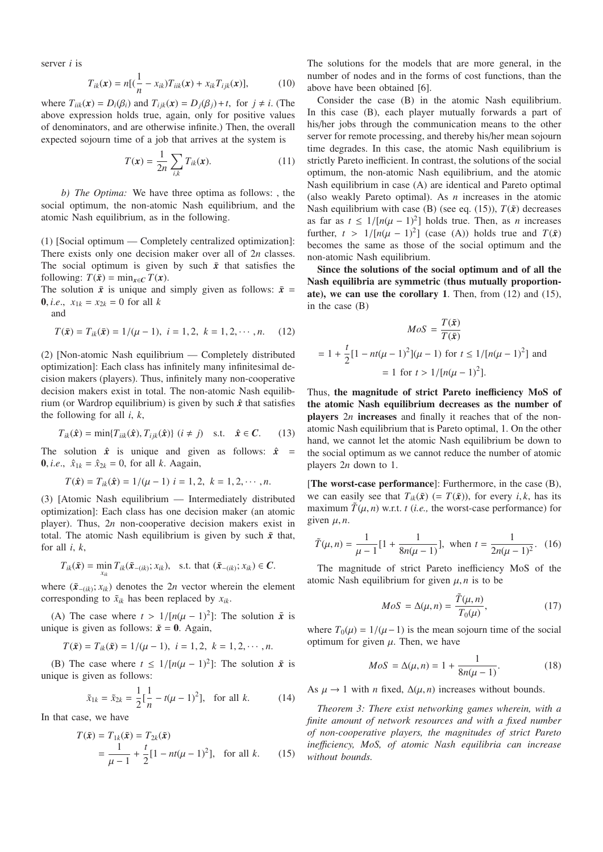server *i* is

$$
T_{ik}(\mathbf{x}) = n[(\frac{1}{n} - x_{ik})T_{iik}(\mathbf{x}) + x_{ik}T_{ijk}(\mathbf{x})],
$$
 (10)

where  $T_{iik}(x) = D_i(\beta_i)$  and  $T_{ijk}(x) = D_j(\beta_j) + t$ , for  $j \neq i$ . (The above expression holds true, again, only for positive values of denominators, and are otherwise infinite.) Then, the overall expected sojourn time of a job that arrives at the system is

$$
T(x) = \frac{1}{2n} \sum_{i,k} T_{ik}(x).
$$
 (11)

*b) The Optima:* We have three optima as follows: , the social optimum, the non-atomic Nash equilibrium, and the atomic Nash equilibrium, as in the following.

(1) [Social optimum — Completely centralized optimization]: There exists only one decision maker over all of 2*n* classes. The social optimum is given by such  $\bar{x}$  that satisfies the following:  $T(\bar{x}) = \min_{x \in C} T(x)$ .

The solution  $\bar{x}$  is unique and simply given as follows:  $\bar{x}$  = **0**, *i.e.*,  $x_{1k} = x_{2k} = 0$  for all *k* 

and

$$
T(\bar{x}) = T_{ik}(\bar{x}) = 1/(\mu - 1), \quad i = 1, 2, \quad k = 1, 2, \cdots, n. \tag{12}
$$

(2) [Non-atomic Nash equilibrium — Completely distributed optimization]: Each class has infinitely many infinitesimal decision makers (players). Thus, infinitely many non-cooperative decision makers exist in total. The non-atomic Nash equilibrium (or Wardrop equilibrium) is given by such  $\hat{x}$  that satisfies the following for all *i*, *k*,

$$
T_{ik}(\hat{\boldsymbol{x}}) = \min\{T_{iik}(\hat{\boldsymbol{x}}), T_{ijk}(\hat{\boldsymbol{x}})\} \ (i \neq j) \quad \text{s.t.} \quad \hat{\boldsymbol{x}} \in \mathbb{C}. \tag{13}
$$

The solution  $\hat{x}$  is unique and given as follows:  $\hat{x}$  = **0**, *i.e.*,  $\hat{x}_{1k} = \hat{x}_{2k} = 0$ , for all *k*. Aagain,

$$
T(\hat{\mathbf{x}}) = T_{ik}(\hat{\mathbf{x}}) = 1/(\mu - 1) \quad i = 1, 2, \quad k = 1, 2, \cdots, n.
$$

(3) [Atomic Nash equilibrium — Intermediately distributed optimization]: Each class has one decision maker (an atomic player). Thus, 2*n* non-cooperative decision makers exist in total. The atomic Nash equilibrium is given by such  $\tilde{x}$  that, for all *i*, *k*,

$$
T_{ik}(\tilde{x}) = \min_{x_{ik}} T_{ik}(\tilde{x}_{-(ik)}; x_{ik}), \text{ s.t. that } (\tilde{x}_{-(ik)}; x_{ik}) \in \mathbb{C}.
$$

where  $(\tilde{\mathbf{x}}_{-(ik)}; x_{ik})$  denotes the 2*n* vector wherein the element corresponding to  $\tilde{x}_{ik}$  has been replaced by  $x_{ik}$ .

(A) The case where  $t > 1/[n(\mu - 1)^2]$ : The solution  $\tilde{x}$  is unique is given as follows:  $\tilde{x} = 0$ . Again,

$$
T(\tilde{x}) = T_{ik}(\tilde{x}) = 1/(\mu - 1), \quad i = 1, 2, \quad k = 1, 2, \cdots, n.
$$

(B) The case where  $t \leq 1/[n(\mu - 1)^2]$ : The solution  $\tilde{x}$  is unique is given as follows:

$$
\tilde{x}_{1k} = \tilde{x}_{2k} = \frac{1}{2} \left[ \frac{1}{n} - t(\mu - 1)^2 \right], \text{ for all } k. \tag{14}
$$

In that case, we have

$$
T(\tilde{x}) = T_{1k}(\tilde{x}) = T_{2k}(\tilde{x})
$$
  
=  $\frac{1}{\mu - 1} + \frac{t}{2} [1 - nt(\mu - 1)^2]$ , for all k. (15)

The solutions for the models that are more general, in the number of nodes and in the forms of cost functions, than the above have been obtained [6].

Consider the case (B) in the atomic Nash equilibrium. In this case (B), each player mutually forwards a part of his/her jobs through the communication means to the other server for remote processing, and thereby his/her mean sojourn time degrades. In this case, the atomic Nash equilibrium is strictly Pareto inefficient. In contrast, the solutions of the social optimum, the non-atomic Nash equilibrium, and the atomic Nash equilibrium in case (A) are identical and Pareto optimal (also weakly Pareto optimal). As *n* increases in the atomic Nash equilibrium with case (B) (see eq. (15)),  $T(\tilde{x})$  decreases as far as  $t \leq 1/[n(\mu - 1)^2]$  holds true. Then, as *n* increases further,  $t > 1/[n(\mu - 1)^2]$  (case (A)) holds true and  $T(\tilde{x})$ becomes the same as those of the social optimum and the non-atomic Nash equilibrium.

Since the solutions of the social optimum and of all the Nash equilibria are symmetric (thus mutually proportionate), we can use the corollary 1. Then, from (12) and (15), in the case (B)

$$
MoS = \frac{T(\tilde{x})}{T(\tilde{x})}
$$
  
= 1 +  $\frac{t}{2}$ [1 - nt( $\mu$  - 1)<sup>2</sup>]( $\mu$  - 1) for  $t \le 1/[n(\mu - 1)^2]$  and  
= 1 for  $t > 1/[n(\mu - 1)^2]$ .

Thus, the magnitude of strict Pareto inefficiency MoS of the atomic Nash equilibrium decreases as the number of players 2*n* increases and finally it reaches that of the nonatomic Nash equilibrium that is Pareto optimal, 1. On the other hand, we cannot let the atomic Nash equilibrium be down to the social optimum as we cannot reduce the number of atomic players 2*n* down to 1.

[The worst-case performance]: Furthermore, in the case (B), we can easily see that  $T_{ik}(\tilde{x})$  (=  $T(\tilde{x})$ ), for every *i*, *k*, has its maximum  $\tilde{T}(\mu, n)$  w.r.t. *t* (*i.e.*, the worst-case performance) for given  $\mu$ , *n*.

$$
\tilde{T}(\mu, n) = \frac{1}{\mu - 1} [1 + \frac{1}{8n(\mu - 1)}], \text{ when } t = \frac{1}{2n(\mu - 1)^2}. \tag{16}
$$

The magnitude of strict Pareto inefficiency MoS of the atomic Nash equilibrium for given  $\mu$ , *n* is to be

$$
MoS = \Delta(\mu, n) = \frac{\tilde{T}(\mu, n)}{T_0(\mu)},
$$
\n(17)

where  $T_0(\mu) = 1/(\mu - 1)$  is the mean sojourn time of the social optimum for given  $\mu$ . Then, we have

$$
MoS = \Delta(\mu, n) = 1 + \frac{1}{8n(\mu - 1)}.
$$
 (18)

As  $\mu \rightarrow 1$  with *n* fixed,  $\Delta(\mu, n)$  increases without bounds.

*Theorem 3: There exist networking games wherein, with a finite amount of network resources and with a fixed number of non-cooperative players, the magnitudes of strict Pareto ine*ffi*ciency, MoS, of atomic Nash equilibria can increase without bounds.*